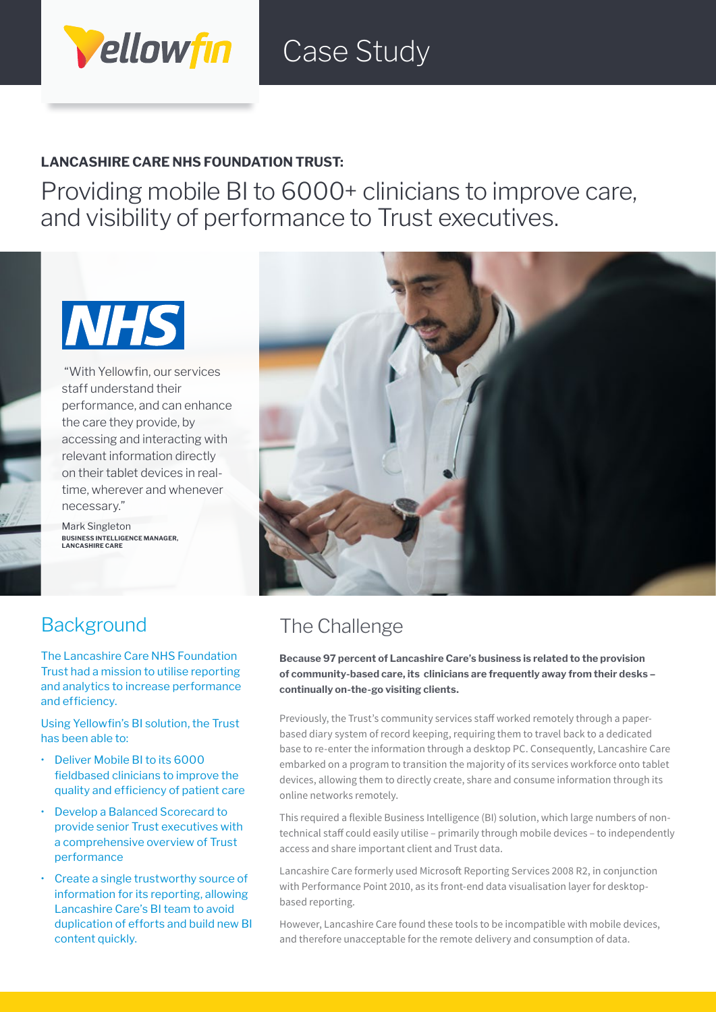

## Case Study

### **LANCASHIRE CARE NHS FOUNDATION TRUST:**

Providing mobile BI to 6000+ clinicians to improve care, and visibility of performance to Trust executives.



 "With Yellowfin, our services staff understand their performance, and can enhance the care they provide, by accessing and interacting with relevant information directly on their tablet devices in realtime, wherever and whenever necessary."

Mark Singleton **BUSINESS INTELLIGENCE MANAGER, LANCASHIRE CARE**



### **Background**

The Lancashire Care NHS Foundation Trust had a mission to utilise reporting and analytics to increase performance and efficiency.

Using Yellowfin's BI solution, the Trust has been able to:

- Deliver Mobile BI to its 6000 fieldbased clinicians to improve the quality and efficiency of patient care
- Develop a Balanced Scorecard to provide senior Trust executives with a comprehensive overview of Trust performance
- Create a single trustworthy source of information for its reporting, allowing Lancashire Care's BI team to avoid duplication of efforts and build new BI content quickly.

## The Challenge

**Because 97 percent of Lancashire Care's business is related to the provision of community-based care, its clinicians are frequently away from their desks – continually on-the-go visiting clients.** 

Previously, the Trust's community services staff worked remotely through a paperbased diary system of record keeping, requiring them to travel back to a dedicated base to re-enter the information through a desktop PC. Consequently, Lancashire Care embarked on a program to transition the majority of its services workforce onto tablet devices, allowing them to directly create, share and consume information through its online networks remotely.

This required a flexible Business Intelligence (BI) solution, which large numbers of nontechnical staff could easily utilise – primarily through mobile devices – to independently access and share important client and Trust data.

Lancashire Care formerly used Microsoft Reporting Services 2008 R2, in conjunction with Performance Point 2010, as its front-end data visualisation layer for desktopbased reporting.

However, Lancashire Care found these tools to be incompatible with mobile devices, and therefore unacceptable for the remote delivery and consumption of data.